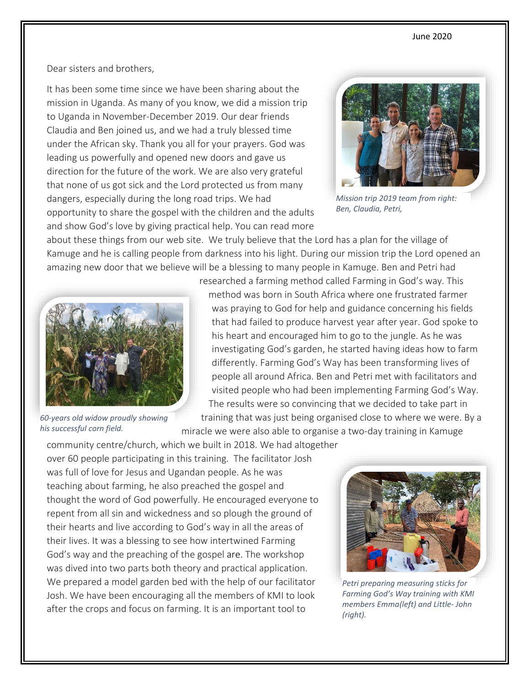Dear sisters and brothers,

It has been some time since we have been sharing about the mission in Uganda. As many of you know, we did a mission trip to Uganda in November-December 2019. Our dear friends Claudia and Ben joined us, and we had a truly blessed time under the African sky. Thank you all for your prayers. God was leading us powerfully and opened new doors and gave us direction for the future of the work. We are also very grateful that none of us got sick and the Lord protected us from many dangers, especially during the long road trips. We had opportunity to share the gospel with the children and the adults and show God's love by giving practical help. You can read more



*Mission trip 2019 team from right: Ben, Claudia, Petri,* 

about these things from our web site. We truly believe that the Lord has a plan for the village of Kamuge and he is calling people from darkness into his light. During our mission trip the Lord opened an amazing new door that we believe will be a blessing to many people in Kamuge. Ben and Petri had



*60-years old widow proudly showing his successful corn field.* 

researched a farming method called Farming in God's way. This method was born in South Africa where one frustrated farmer was praying to God for help and guidance concerning his fields that had failed to produce harvest year after year. God spoke to his heart and encouraged him to go to the jungle. As he was investigating God's garden, he started having ideas how to farm differently. Farming God's Way has been transforming lives of people all around Africa. Ben and Petri met with facilitators and visited people who had been implementing Farming God's Way. The results were so convincing that we decided to take part in

training that was just being organised close to where we were. By a miracle we were also able to organise a two-day training in Kamuge

community centre/church, which we built in 2018. We had altogether over 60 people participating in this training. The facilitator Josh was full of love for Jesus and Ugandan people. As he was teaching about farming, he also preached the gospel and thought the word of God powerfully. He encouraged everyone to repent from all sin and wickedness and so plough the ground of their hearts and live according to God's way in all the areas of their lives. It was a blessing to see how intertwined Farming God's way and the preaching of the gospel are. The workshop was dived into two parts both theory and practical application. We prepared a model garden bed with the help of our facilitator Josh. We have been encouraging all the members of KMI to look after the crops and focus on farming. It is an important tool to



*Petri preparing measuring sticks for Farming God's Way training with KMI members Emma(left) and Little- John (right).*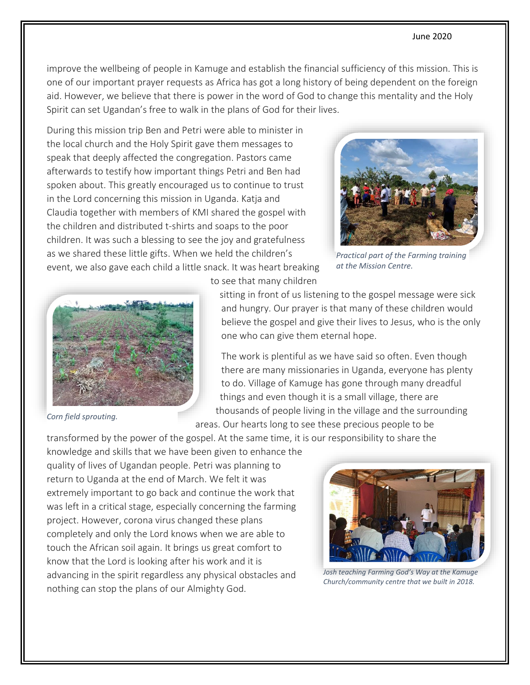## June 2020

improve the wellbeing of people in Kamuge and establish the financial sufficiency of this mission. This is one of our important prayer requests as Africa has got a long history of being dependent on the foreign aid. However, we believe that there is power in the word of God to change this mentality and the Holy Spirit can set Ugandan's free to walk in the plans of God for their lives.

During this mission trip Ben and Petri were able to minister in the local church and the Holy Spirit gave them messages to speak that deeply affected the congregation. Pastors came afterwards to testify how important things Petri and Ben had spoken about. This greatly encouraged us to continue to trust in the Lord concerning this mission in Uganda. Katja and Claudia together with members of KMI shared the gospel with the children and distributed t-shirts and soaps to the poor children. It was such a blessing to see the joy and gratefulness as we shared these little gifts. When we held the children's event, we also gave each child a little snack. It was heart breaking



*Practical part of the Farming training at the Mission Centre.*



*Corn field sprouting.*

to see that many children

sitting in front of us listening to the gospel message were sick and hungry. Our prayer is that many of these children would believe the gospel and give their lives to Jesus, who is the only one who can give them eternal hope.

The work is plentiful as we have said so often. Even though there are many missionaries in Uganda, everyone has plenty to do. Village of Kamuge has gone through many dreadful things and even though it is a small village, there are thousands of people living in the village and the surrounding

areas. Our hearts long to see these precious people to be

transformed by the power of the gospel. At the same time, it is our responsibility to share the

knowledge and skills that we have been given to enhance the quality of lives of Ugandan people. Petri was planning to return to Uganda at the end of March. We felt it was extremely important to go back and continue the work that was left in a critical stage, especially concerning the farming project. However, corona virus changed these plans completely and only the Lord knows when we are able to touch the African soil again. It brings us great comfort to know that the Lord is looking after his work and it is advancing in the spirit regardless any physical obstacles and nothing can stop the plans of our Almighty God.



*Josh teaching Farming God's Way at the Kamuge Church/community centre that we built in 2018.*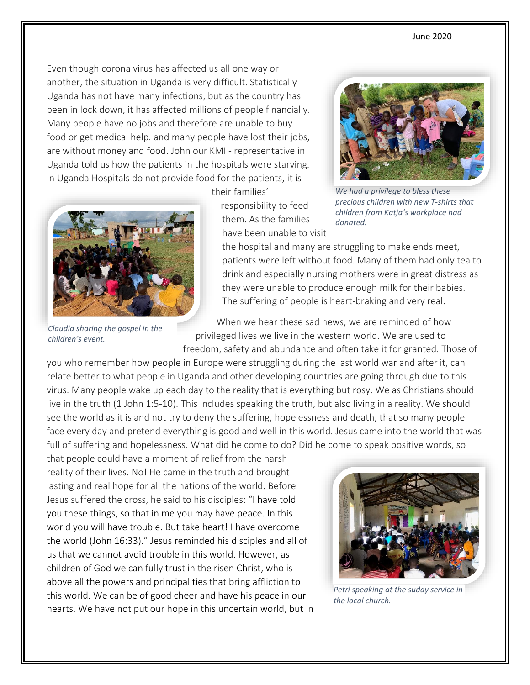Even though corona virus has affected us all one way or another, the situation in Uganda is very difficult. Statistically Uganda has not have many infections, but as the country has been in lock down, it has affected millions of people financially. Many people have no jobs and therefore are unable to buy food or get medical help. and many people have lost their jobs, are without money and food. John our KMI - representative in Uganda told us how the patients in the hospitals were starving. In Uganda Hospitals do not provide food for the patients, it is



*Claudia sharing the gospel in the children's event.* 

their families'

responsibility to feed them. As the families have been unable to visit



*We had a privilege to bless these precious children with new T-shirts that children from Katja's workplace had donated.* 

the hospital and many are struggling to make ends meet, patients were left without food. Many of them had only tea to drink and especially nursing mothers were in great distress as they were unable to produce enough milk for their babies. The suffering of people is heart-braking and very real.

When we hear these sad news, we are reminded of how privileged lives we live in the western world. We are used to freedom, safety and abundance and often take it for granted. Those of

you who remember how people in Europe were struggling during the last world war and after it, can relate better to what people in Uganda and other developing countries are going through due to this virus. Many people wake up each day to the reality that is everything but rosy. We as Christians should live in the truth (1 John 1:5-10). This includes speaking the truth, but also living in a reality. We should see the world as it is and not try to deny the suffering, hopelessness and death, that so many people face every day and pretend everything is good and well in this world. Jesus came into the world that was full of suffering and hopelessness. What did he come to do? Did he come to speak positive words, so

that people could have a moment of relief from the harsh reality of their lives. No! He came in the truth and brought lasting and real hope for all the nations of the world. Before Jesus suffered the cross, he said to his disciples: "I have told you these things, so that in me you may have peace. In this world you will have trouble. But take heart! I have overcome the world (John 16:33)." Jesus reminded his disciples and all of us that we cannot avoid trouble in this world. However, as children of God we can fully trust in the risen Christ, who is above all the powers and principalities that bring affliction to this world. We can be of good cheer and have his peace in our hearts. We have not put our hope in this uncertain world, but in



*Petri speaking at the suday service in the local church.*